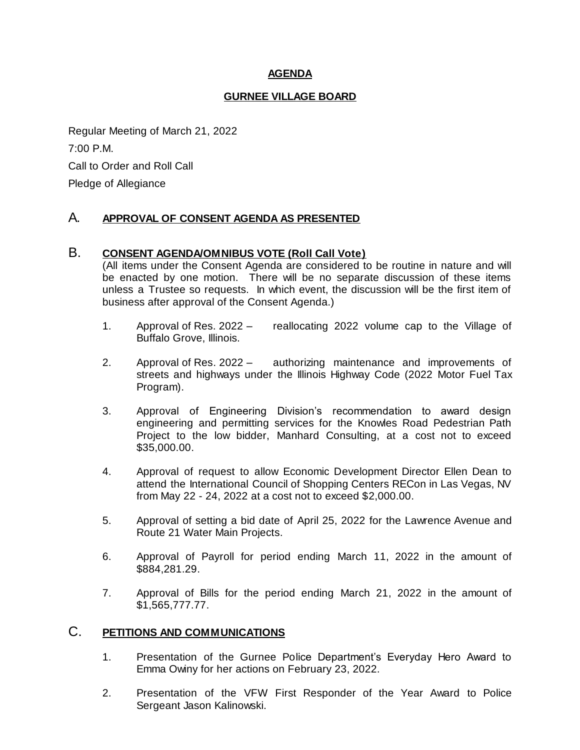### **AGENDA**

#### **GURNEE VILLAGE BOARD**

Regular Meeting of March 21, 2022 7:00 P.M. Call to Order and Roll Call Pledge of Allegiance

### A. **APPROVAL OF CONSENT AGENDA AS PRESENTED**

### B. **CONSENT AGENDA/OMNIBUS VOTE (Roll Call Vote)**

(All items under the Consent Agenda are considered to be routine in nature and will be enacted by one motion. There will be no separate discussion of these items unless a Trustee so requests. In which event, the discussion will be the first item of business after approval of the Consent Agenda.)

- 1. Approval of Res. 2022 reallocating 2022 volume cap to the Village of Buffalo Grove, Illinois.
- 2. Approval of Res. 2022 authorizing maintenance and improvements of streets and highways under the Illinois Highway Code (2022 Motor Fuel Tax Program).
- 3. Approval of Engineering Division's recommendation to award design engineering and permitting services for the Knowles Road Pedestrian Path Project to the low bidder, Manhard Consulting, at a cost not to exceed \$35,000.00.
- 4. Approval of request to allow Economic Development Director Ellen Dean to attend the International Council of Shopping Centers RECon in Las Vegas, NV from May 22 - 24, 2022 at a cost not to exceed \$2,000.00.
- 5. Approval of setting a bid date of April 25, 2022 for the Lawrence Avenue and Route 21 Water Main Projects.
- 6. Approval of Payroll for period ending March 11, 2022 in the amount of \$884,281.29.
- 7. Approval of Bills for the period ending March 21, 2022 in the amount of \$1,565,777.77.

## C. **PETITIONS AND COMMUNICATIONS**

- 1. Presentation of the Gurnee Police Department's Everyday Hero Award to Emma Owiny for her actions on February 23, 2022.
- 2. Presentation of the VFW First Responder of the Year Award to Police Sergeant Jason Kalinowski.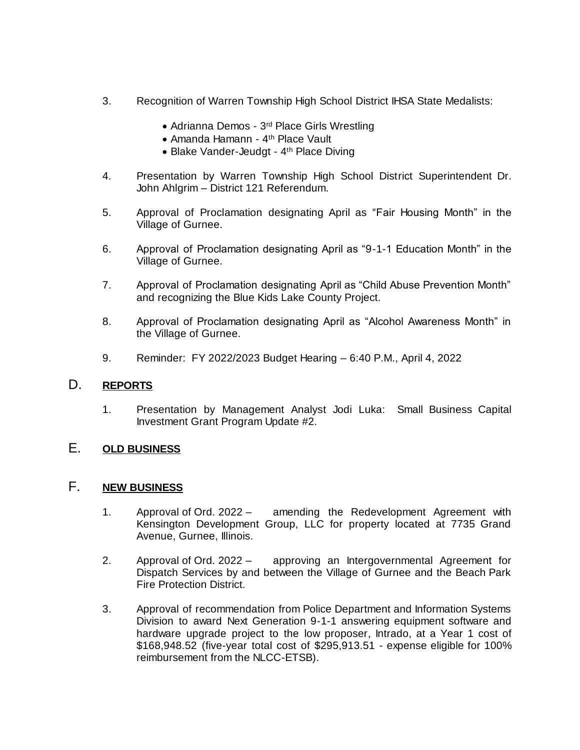- 3. Recognition of Warren Township High School District IHSA State Medalists:
	- Adrianna Demos 3<sup>rd</sup> Place Girls Wrestling
	- Amanda Hamann 4 th Place Vault
	- Blake Vander-Jeudgt 4<sup>th</sup> Place Diving
- 4. Presentation by Warren Township High School District Superintendent Dr. John Ahlgrim – District 121 Referendum.
- 5. Approval of Proclamation designating April as "Fair Housing Month" in the Village of Gurnee.
- 6. Approval of Proclamation designating April as "9-1-1 Education Month" in the Village of Gurnee.
- 7. Approval of Proclamation designating April as "Child Abuse Prevention Month" and recognizing the Blue Kids Lake County Project.
- 8. Approval of Proclamation designating April as "Alcohol Awareness Month" in the Village of Gurnee.
- 9. Reminder: FY 2022/2023 Budget Hearing 6:40 P.M., April 4, 2022

### D. **REPORTS**

1. Presentation by Management Analyst Jodi Luka: Small Business Capital Investment Grant Program Update #2.

## E. **OLD BUSINESS**

### F. **NEW BUSINESS**

- 1. Approval of Ord. 2022 amending the Redevelopment Agreement with Kensington Development Group, LLC for property located at 7735 Grand Avenue, Gurnee, Illinois.
- 2. Approval of Ord. 2022 approving an Intergovernmental Agreement for Dispatch Services by and between the Village of Gurnee and the Beach Park Fire Protection District.
- 3. Approval of recommendation from Police Department and Information Systems Division to award Next Generation 9-1-1 answering equipment software and hardware upgrade project to the low proposer, Intrado, at a Year 1 cost of \$168,948.52 (five-year total cost of \$295,913.51 - expense eligible for 100% reimbursement from the NLCC-ETSB).